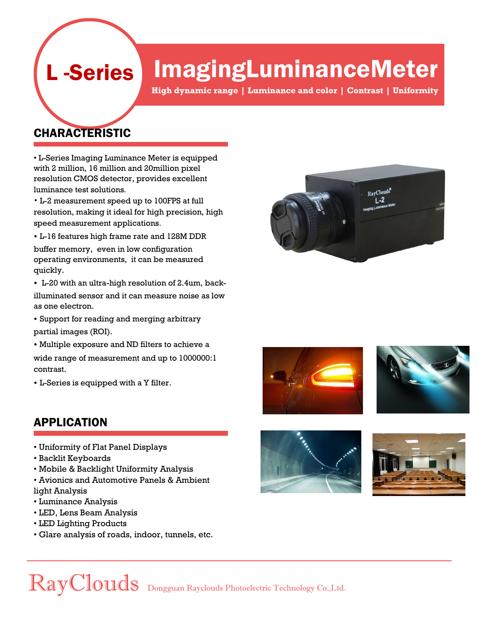## ImagingLuminanceMeter

**High dynamic range | Luminance and color | Contrast | Uniformity**

### CHARACTERISTIC

L -Series

• L-Series Imaging Luminance Meter is equipped with 2 million, 16 million and 20million pixel resolution CMOS detector, provides excellent luminance test solutions.

• L-2 measurement speed up to 100FPS at full resolution, making it ideal for high precision, high speed measurement applications.

• L-16 features high frame rate and 128M DDR

buffer memory, even in low configuration operating environments, it can be measured quickly.

• L-20 with an ultra-high resolution of 2.4um, back-

illuminated sensor and it can measure noise as low as one electron.

• Support for reading and merging arbitrary partial images (ROI).

• Multiple exposure and ND filters to achieve a

wide range of measurement and up to 1000000:1 contrast.

• L-Series is equipped with a Y filter.

### APPLICATION

- Uniformity of Flat Panel Displays
- Backlit Keyboards
- Mobile & Backlight Uniformity Analysis
- Avionics and Automotive Panels & Ambient light Analysis
- Luminance Analysis
- LED, Lens Beam Analysis
- LED Lighting Products
- Glare analysis of roads, indoor, tunnels, etc.











RayClouds Dongguan Rayclouds Photoelectric Technology Co.,Ltd.